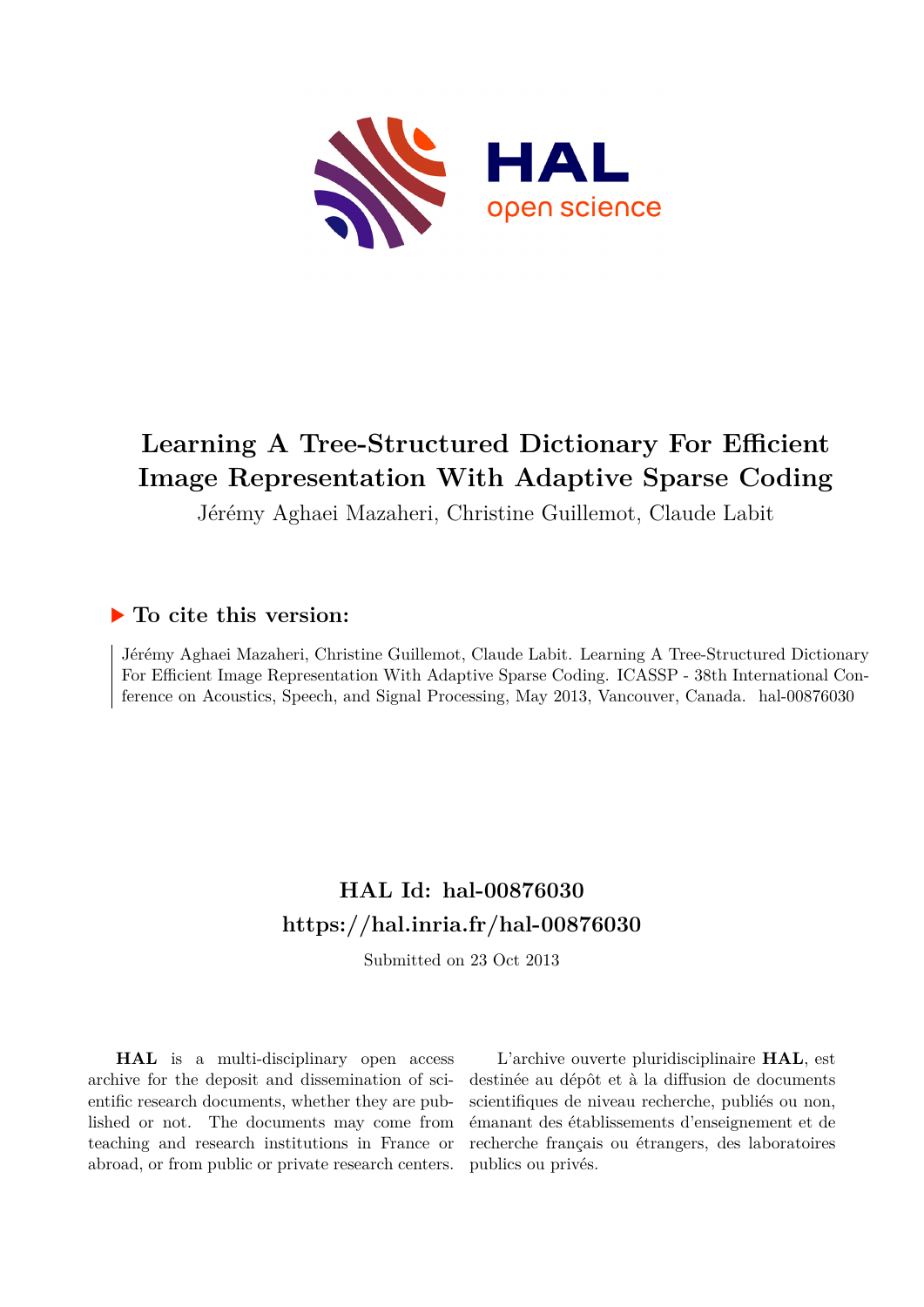

# **Learning A Tree-Structured Dictionary For Efficient Image Representation With Adaptive Sparse Coding**

Jérémy Aghaei Mazaheri, Christine Guillemot, Claude Labit

### **To cite this version:**

Jérémy Aghaei Mazaheri, Christine Guillemot, Claude Labit. Learning A Tree-Structured Dictionary For Efficient Image Representation With Adaptive Sparse Coding. ICASSP - 38th International Conference on Acoustics, Speech, and Signal Processing, May 2013, Vancouver, Canada. hal-00876030

## **HAL Id: hal-00876030 <https://hal.inria.fr/hal-00876030>**

Submitted on 23 Oct 2013

**HAL** is a multi-disciplinary open access archive for the deposit and dissemination of scientific research documents, whether they are published or not. The documents may come from teaching and research institutions in France or abroad, or from public or private research centers.

L'archive ouverte pluridisciplinaire **HAL**, est destinée au dépôt et à la diffusion de documents scientifiques de niveau recherche, publiés ou non, émanant des établissements d'enseignement et de recherche français ou étrangers, des laboratoires publics ou privés.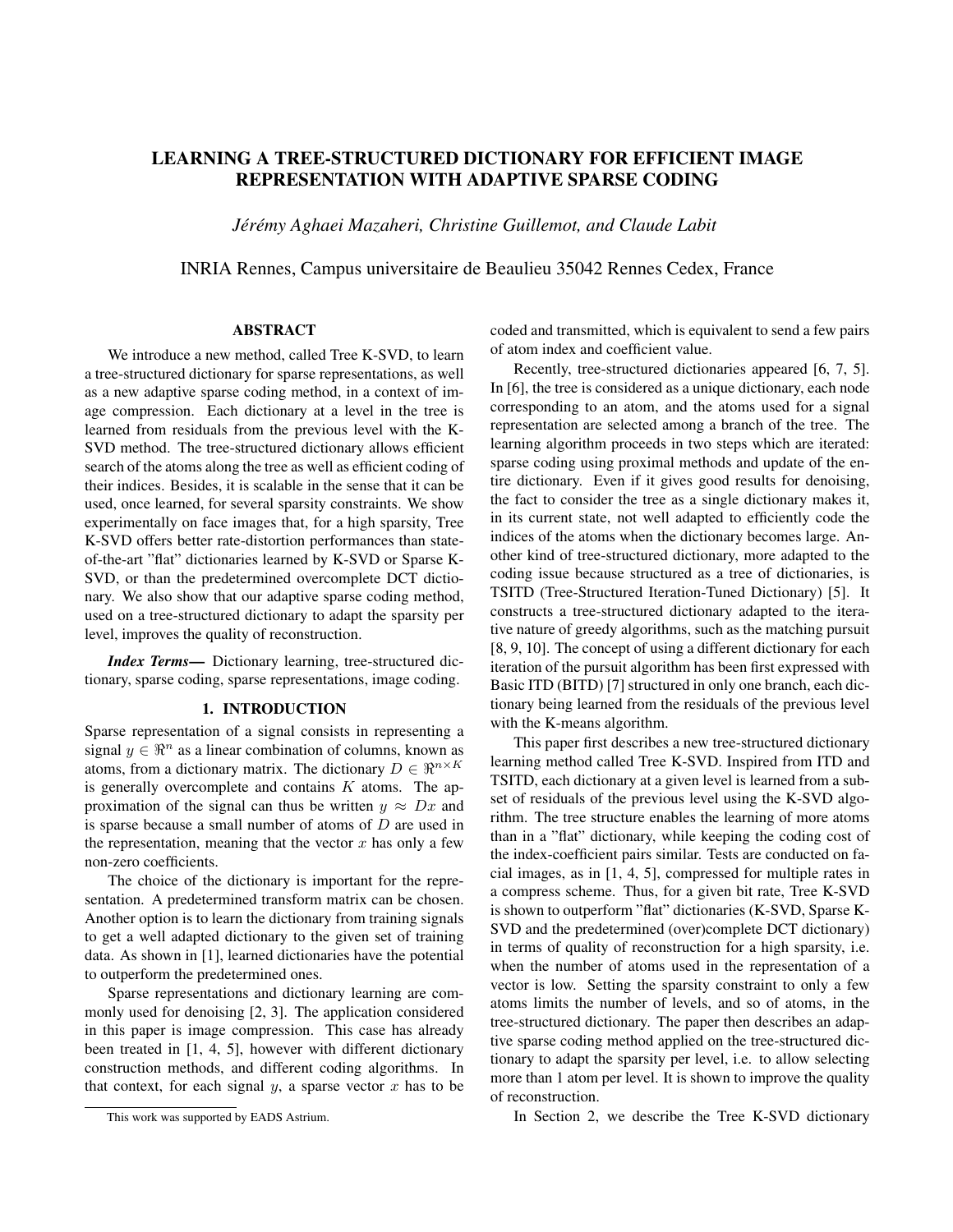### LEARNING A TREE-STRUCTURED DICTIONARY FOR EFFICIENT IMAGE REPRESENTATION WITH ADAPTIVE SPARSE CODING

*Jer´ emy Aghaei Mazaheri, Christine Guillemot, and Claude Labit ´*

INRIA Rennes, Campus universitaire de Beaulieu 35042 Rennes Cedex, France

#### ABSTRACT

We introduce a new method, called Tree K-SVD, to learn a tree-structured dictionary for sparse representations, as well as a new adaptive sparse coding method, in a context of image compression. Each dictionary at a level in the tree is learned from residuals from the previous level with the K-SVD method. The tree-structured dictionary allows efficient search of the atoms along the tree as well as efficient coding of their indices. Besides, it is scalable in the sense that it can be used, once learned, for several sparsity constraints. We show experimentally on face images that, for a high sparsity, Tree K-SVD offers better rate-distortion performances than stateof-the-art "flat" dictionaries learned by K-SVD or Sparse K-SVD, or than the predetermined overcomplete DCT dictionary. We also show that our adaptive sparse coding method, used on a tree-structured dictionary to adapt the sparsity per level, improves the quality of reconstruction.

*Index Terms*— Dictionary learning, tree-structured dictionary, sparse coding, sparse representations, image coding.

#### 1. INTRODUCTION

Sparse representation of a signal consists in representing a signal  $y \in \mathbb{R}^n$  as a linear combination of columns, known as atoms, from a dictionary matrix. The dictionary  $D \in \mathbb{R}^{n \times K}$ is generally overcomplete and contains  $K$  atoms. The approximation of the signal can thus be written  $y \approx Dx$  and is sparse because a small number of atoms of D are used in the representation, meaning that the vector  $x$  has only a few non-zero coefficients.

The choice of the dictionary is important for the representation. A predetermined transform matrix can be chosen. Another option is to learn the dictionary from training signals to get a well adapted dictionary to the given set of training data. As shown in [1], learned dictionaries have the potential to outperform the predetermined ones.

Sparse representations and dictionary learning are commonly used for denoising [2, 3]. The application considered in this paper is image compression. This case has already been treated in [1, 4, 5], however with different dictionary construction methods, and different coding algorithms. In that context, for each signal  $y$ , a sparse vector  $x$  has to be

coded and transmitted, which is equivalent to send a few pairs of atom index and coefficient value.

Recently, tree-structured dictionaries appeared [6, 7, 5]. In [6], the tree is considered as a unique dictionary, each node corresponding to an atom, and the atoms used for a signal representation are selected among a branch of the tree. The learning algorithm proceeds in two steps which are iterated: sparse coding using proximal methods and update of the entire dictionary. Even if it gives good results for denoising, the fact to consider the tree as a single dictionary makes it, in its current state, not well adapted to efficiently code the indices of the atoms when the dictionary becomes large. Another kind of tree-structured dictionary, more adapted to the coding issue because structured as a tree of dictionaries, is TSITD (Tree-Structured Iteration-Tuned Dictionary) [5]. It constructs a tree-structured dictionary adapted to the iterative nature of greedy algorithms, such as the matching pursuit [8, 9, 10]. The concept of using a different dictionary for each iteration of the pursuit algorithm has been first expressed with Basic ITD (BITD) [7] structured in only one branch, each dictionary being learned from the residuals of the previous level with the K-means algorithm.

This paper first describes a new tree-structured dictionary learning method called Tree K-SVD. Inspired from ITD and TSITD, each dictionary at a given level is learned from a subset of residuals of the previous level using the K-SVD algorithm. The tree structure enables the learning of more atoms than in a "flat" dictionary, while keeping the coding cost of the index-coefficient pairs similar. Tests are conducted on facial images, as in [1, 4, 5], compressed for multiple rates in a compress scheme. Thus, for a given bit rate, Tree K-SVD is shown to outperform "flat" dictionaries (K-SVD, Sparse K-SVD and the predetermined (over)complete DCT dictionary) in terms of quality of reconstruction for a high sparsity, i.e. when the number of atoms used in the representation of a vector is low. Setting the sparsity constraint to only a few atoms limits the number of levels, and so of atoms, in the tree-structured dictionary. The paper then describes an adaptive sparse coding method applied on the tree-structured dictionary to adapt the sparsity per level, i.e. to allow selecting more than 1 atom per level. It is shown to improve the quality of reconstruction.

In Section 2, we describe the Tree K-SVD dictionary

This work was supported by EADS Astrium.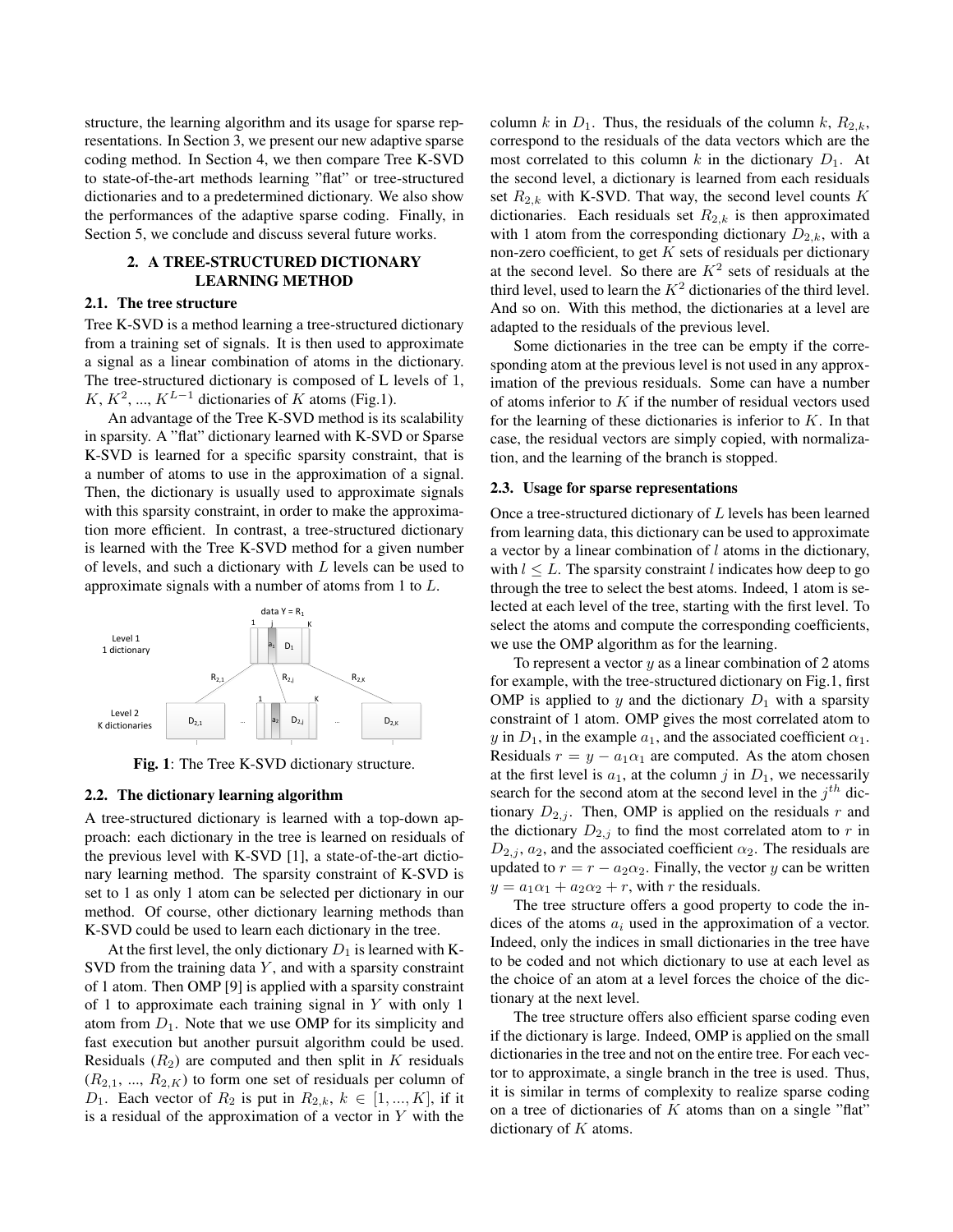structure, the learning algorithm and its usage for sparse representations. In Section 3, we present our new adaptive sparse coding method. In Section 4, we then compare Tree K-SVD to state-of-the-art methods learning "flat" or tree-structured dictionaries and to a predetermined dictionary. We also show the performances of the adaptive sparse coding. Finally, in Section 5, we conclude and discuss several future works.

#### 2. A TREE-STRUCTURED DICTIONARY LEARNING METHOD

#### 2.1. The tree structure

Tree K-SVD is a method learning a tree-structured dictionary from a training set of signals. It is then used to approximate a signal as a linear combination of atoms in the dictionary. The tree-structured dictionary is composed of L levels of 1,  $K, K^2, ..., K^{L-1}$  dictionaries of K atoms (Fig.1).

An advantage of the Tree K-SVD method is its scalability in sparsity. A "flat" dictionary learned with K-SVD or Sparse K-SVD is learned for a specific sparsity constraint, that is a number of atoms to use in the approximation of a signal. Then, the dictionary is usually used to approximate signals with this sparsity constraint, in order to make the approximation more efficient. In contrast, a tree-structured dictionary is learned with the Tree K-SVD method for a given number of levels, and such a dictionary with L levels can be used to approximate signals with a number of atoms from 1 to L.



Fig. 1: The Tree K-SVD dictionary structure.

#### 2.2. The dictionary learning algorithm

A tree-structured dictionary is learned with a top-down approach: each dictionary in the tree is learned on residuals of the previous level with K-SVD [1], a state-of-the-art dictionary learning method. The sparsity constraint of K-SVD is set to 1 as only 1 atom can be selected per dictionary in our method. Of course, other dictionary learning methods than K-SVD could be used to learn each dictionary in the tree.

At the first level, the only dictionary  $D_1$  is learned with K-SVD from the training data  $Y$ , and with a sparsity constraint of 1 atom. Then OMP [9] is applied with a sparsity constraint of 1 to approximate each training signal in Y with only 1 atom from  $D_1$ . Note that we use OMP for its simplicity and fast execution but another pursuit algorithm could be used. Residuals  $(R_2)$  are computed and then split in K residuals  $(R_{2,1}, ..., R_{2,K})$  to form one set of residuals per column of  $D_1$ . Each vector of  $R_2$  is put in  $R_{2,k}$ ,  $k \in [1, ..., K]$ , if it is a residual of the approximation of a vector in  $Y$  with the

column k in  $D_1$ . Thus, the residuals of the column k,  $R_{2,k}$ , correspond to the residuals of the data vectors which are the most correlated to this column k in the dictionary  $D_1$ . At the second level, a dictionary is learned from each residuals set  $R_{2,k}$  with K-SVD. That way, the second level counts K dictionaries. Each residuals set  $R_{2,k}$  is then approximated with 1 atom from the corresponding dictionary  $D_{2,k}$ , with a non-zero coefficient, to get  $K$  sets of residuals per dictionary at the second level. So there are  $K^2$  sets of residuals at the third level, used to learn the  $K^2$  dictionaries of the third level. And so on. With this method, the dictionaries at a level are adapted to the residuals of the previous level.

Some dictionaries in the tree can be empty if the corresponding atom at the previous level is not used in any approximation of the previous residuals. Some can have a number of atoms inferior to  $K$  if the number of residual vectors used for the learning of these dictionaries is inferior to  $K$ . In that case, the residual vectors are simply copied, with normalization, and the learning of the branch is stopped.

#### 2.3. Usage for sparse representations

Once a tree-structured dictionary of L levels has been learned from learning data, this dictionary can be used to approximate a vector by a linear combination of  $l$  atoms in the dictionary, with  $l \leq L$ . The sparsity constraint l indicates how deep to go through the tree to select the best atoms. Indeed, 1 atom is selected at each level of the tree, starting with the first level. To select the atoms and compute the corresponding coefficients, we use the OMP algorithm as for the learning.

To represent a vector  $y$  as a linear combination of 2 atoms for example, with the tree-structured dictionary on Fig.1, first OMP is applied to y and the dictionary  $D_1$  with a sparsity constraint of 1 atom. OMP gives the most correlated atom to y in  $D_1$ , in the example  $a_1$ , and the associated coefficient  $\alpha_1$ . Residuals  $r = y - a_1 \alpha_1$  are computed. As the atom chosen at the first level is  $a_1$ , at the column j in  $D_1$ , we necessarily search for the second atom at the second level in the  $j<sup>th</sup>$  dictionary  $D_{2,j}$ . Then, OMP is applied on the residuals r and the dictionary  $D_{2,j}$  to find the most correlated atom to r in  $D_{2,i}$ ,  $a_2$ , and the associated coefficient  $\alpha_2$ . The residuals are updated to  $r = r - a_2 \alpha_2$ . Finally, the vector y can be written  $y = a_1\alpha_1 + a_2\alpha_2 + r$ , with r the residuals.

The tree structure offers a good property to code the indices of the atoms  $a_i$  used in the approximation of a vector. Indeed, only the indices in small dictionaries in the tree have to be coded and not which dictionary to use at each level as the choice of an atom at a level forces the choice of the dictionary at the next level.

The tree structure offers also efficient sparse coding even if the dictionary is large. Indeed, OMP is applied on the small dictionaries in the tree and not on the entire tree. For each vector to approximate, a single branch in the tree is used. Thus, it is similar in terms of complexity to realize sparse coding on a tree of dictionaries of  $K$  atoms than on a single "flat" dictionary of  $K$  atoms.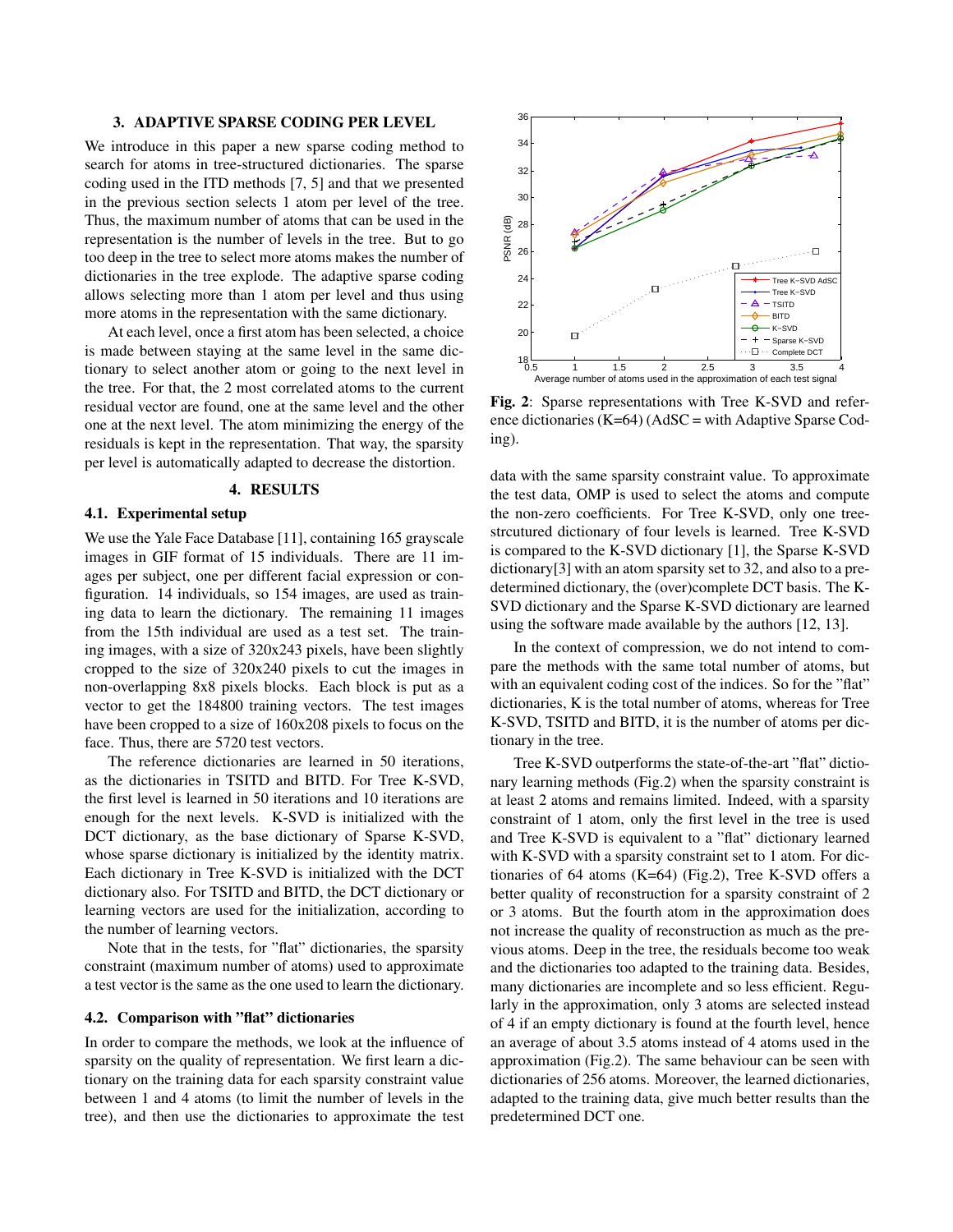#### 3. ADAPTIVE SPARSE CODING PER LEVEL

We introduce in this paper a new sparse coding method to search for atoms in tree-structured dictionaries. The sparse coding used in the ITD methods [7, 5] and that we presented in the previous section selects 1 atom per level of the tree. Thus, the maximum number of atoms that can be used in the representation is the number of levels in the tree. But to go too deep in the tree to select more atoms makes the number of dictionaries in the tree explode. The adaptive sparse coding allows selecting more than 1 atom per level and thus using more atoms in the representation with the same dictionary.

At each level, once a first atom has been selected, a choice is made between staying at the same level in the same dictionary to select another atom or going to the next level in the tree. For that, the 2 most correlated atoms to the current residual vector are found, one at the same level and the other one at the next level. The atom minimizing the energy of the residuals is kept in the representation. That way, the sparsity per level is automatically adapted to decrease the distortion.

#### 4. RESULTS

#### 4.1. Experimental setup

We use the Yale Face Database [11], containing 165 grayscale images in GIF format of 15 individuals. There are 11 images per subject, one per different facial expression or configuration. 14 individuals, so 154 images, are used as training data to learn the dictionary. The remaining 11 images from the 15th individual are used as a test set. The training images, with a size of 320x243 pixels, have been slightly cropped to the size of 320x240 pixels to cut the images in non-overlapping 8x8 pixels blocks. Each block is put as a vector to get the 184800 training vectors. The test images have been cropped to a size of 160x208 pixels to focus on the face. Thus, there are 5720 test vectors.

The reference dictionaries are learned in 50 iterations, as the dictionaries in TSITD and BITD. For Tree K-SVD, the first level is learned in 50 iterations and 10 iterations are enough for the next levels. K-SVD is initialized with the DCT dictionary, as the base dictionary of Sparse K-SVD, whose sparse dictionary is initialized by the identity matrix. Each dictionary in Tree K-SVD is initialized with the DCT dictionary also. For TSITD and BITD, the DCT dictionary or learning vectors are used for the initialization, according to the number of learning vectors.

Note that in the tests, for "flat" dictionaries, the sparsity constraint (maximum number of atoms) used to approximate a test vector is the same as the one used to learn the dictionary.

#### 4.2. Comparison with "flat" dictionaries

In order to compare the methods, we look at the influence of sparsity on the quality of representation. We first learn a dictionary on the training data for each sparsity constraint value between 1 and 4 atoms (to limit the number of levels in the tree), and then use the dictionaries to approximate the test



Fig. 2: Sparse representations with Tree K-SVD and reference dictionaries (K=64) (AdSC = with Adaptive Sparse Coding).

data with the same sparsity constraint value. To approximate the test data, OMP is used to select the atoms and compute the non-zero coefficients. For Tree K-SVD, only one treestrcutured dictionary of four levels is learned. Tree K-SVD is compared to the K-SVD dictionary [1], the Sparse K-SVD dictionary[3] with an atom sparsity set to 32, and also to a predetermined dictionary, the (over)complete DCT basis. The K-SVD dictionary and the Sparse K-SVD dictionary are learned using the software made available by the authors [12, 13].

In the context of compression, we do not intend to compare the methods with the same total number of atoms, but with an equivalent coding cost of the indices. So for the "flat" dictionaries, K is the total number of atoms, whereas for Tree K-SVD, TSITD and BITD, it is the number of atoms per dictionary in the tree.

Tree K-SVD outperforms the state-of-the-art "flat" dictionary learning methods (Fig.2) when the sparsity constraint is at least 2 atoms and remains limited. Indeed, with a sparsity constraint of 1 atom, only the first level in the tree is used and Tree K-SVD is equivalent to a "flat" dictionary learned with K-SVD with a sparsity constraint set to 1 atom. For dictionaries of 64 atoms (K=64) (Fig.2), Tree K-SVD offers a better quality of reconstruction for a sparsity constraint of 2 or 3 atoms. But the fourth atom in the approximation does not increase the quality of reconstruction as much as the previous atoms. Deep in the tree, the residuals become too weak and the dictionaries too adapted to the training data. Besides, many dictionaries are incomplete and so less efficient. Regularly in the approximation, only 3 atoms are selected instead of 4 if an empty dictionary is found at the fourth level, hence an average of about 3.5 atoms instead of 4 atoms used in the approximation (Fig.2). The same behaviour can be seen with dictionaries of 256 atoms. Moreover, the learned dictionaries, adapted to the training data, give much better results than the predetermined DCT one.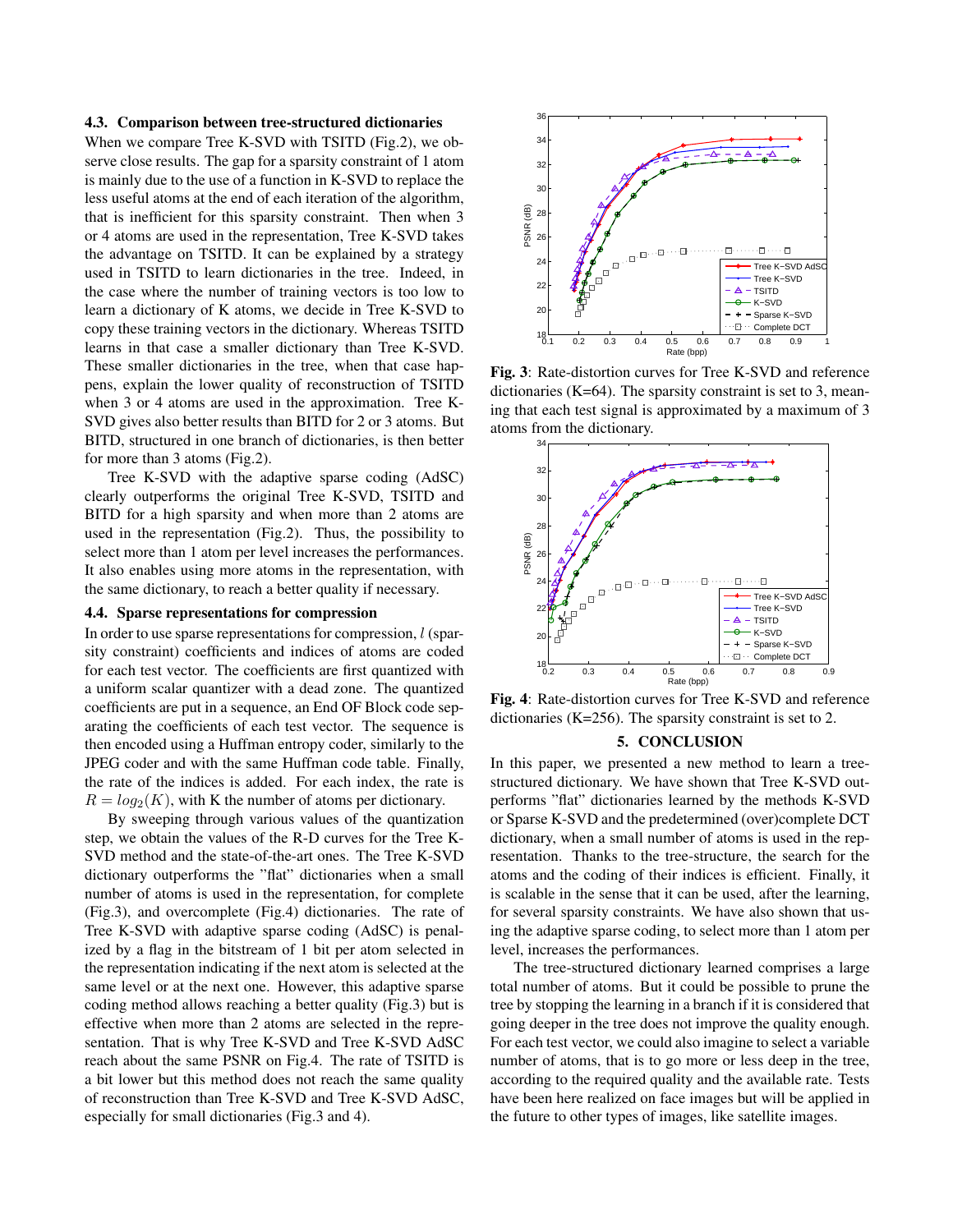#### 4.3. Comparison between tree-structured dictionaries

When we compare Tree K-SVD with TSITD (Fig.2), we observe close results. The gap for a sparsity constraint of 1 atom is mainly due to the use of a function in K-SVD to replace the less useful atoms at the end of each iteration of the algorithm, that is inefficient for this sparsity constraint. Then when 3 or 4 atoms are used in the representation, Tree K-SVD takes the advantage on TSITD. It can be explained by a strategy used in TSITD to learn dictionaries in the tree. Indeed, in the case where the number of training vectors is too low to learn a dictionary of K atoms, we decide in Tree K-SVD to copy these training vectors in the dictionary. Whereas TSITD learns in that case a smaller dictionary than Tree K-SVD. These smaller dictionaries in the tree, when that case happens, explain the lower quality of reconstruction of TSITD when 3 or 4 atoms are used in the approximation. Tree K-SVD gives also better results than BITD for 2 or 3 atoms. But BITD, structured in one branch of dictionaries, is then better for more than 3 atoms (Fig.2).

Tree K-SVD with the adaptive sparse coding (AdSC) clearly outperforms the original Tree K-SVD, TSITD and BITD for a high sparsity and when more than 2 atoms are used in the representation (Fig.2). Thus, the possibility to select more than 1 atom per level increases the performances. It also enables using more atoms in the representation, with the same dictionary, to reach a better quality if necessary.

#### 4.4. Sparse representations for compression

In order to use sparse representations for compression,  $l$  (sparsity constraint) coefficients and indices of atoms are coded for each test vector. The coefficients are first quantized with a uniform scalar quantizer with a dead zone. The quantized coefficients are put in a sequence, an End OF Block code separating the coefficients of each test vector. The sequence is then encoded using a Huffman entropy coder, similarly to the JPEG coder and with the same Huffman code table. Finally, the rate of the indices is added. For each index, the rate is  $R = log_2(K)$ , with K the number of atoms per dictionary.

By sweeping through various values of the quantization step, we obtain the values of the R-D curves for the Tree K-SVD method and the state-of-the-art ones. The Tree K-SVD dictionary outperforms the "flat" dictionaries when a small number of atoms is used in the representation, for complete (Fig.3), and overcomplete (Fig.4) dictionaries. The rate of Tree K-SVD with adaptive sparse coding (AdSC) is penalized by a flag in the bitstream of 1 bit per atom selected in the representation indicating if the next atom is selected at the same level or at the next one. However, this adaptive sparse coding method allows reaching a better quality (Fig.3) but is effective when more than 2 atoms are selected in the representation. That is why Tree K-SVD and Tree K-SVD AdSC reach about the same PSNR on Fig.4. The rate of TSITD is a bit lower but this method does not reach the same quality of reconstruction than Tree K-SVD and Tree K-SVD AdSC, especially for small dictionaries (Fig.3 and 4).



Fig. 3: Rate-distortion curves for Tree K-SVD and reference dictionaries  $(K=64)$ . The sparsity constraint is set to 3, meaning that each test signal is approximated by a maximum of 3 atoms from the dictionary.



Fig. 4: Rate-distortion curves for Tree K-SVD and reference dictionaries (K=256). The sparsity constraint is set to 2.

#### 5. CONCLUSION

In this paper, we presented a new method to learn a treestructured dictionary. We have shown that Tree K-SVD outperforms "flat" dictionaries learned by the methods K-SVD or Sparse K-SVD and the predetermined (over)complete DCT dictionary, when a small number of atoms is used in the representation. Thanks to the tree-structure, the search for the atoms and the coding of their indices is efficient. Finally, it is scalable in the sense that it can be used, after the learning, for several sparsity constraints. We have also shown that using the adaptive sparse coding, to select more than 1 atom per level, increases the performances.

The tree-structured dictionary learned comprises a large total number of atoms. But it could be possible to prune the tree by stopping the learning in a branch if it is considered that going deeper in the tree does not improve the quality enough. For each test vector, we could also imagine to select a variable number of atoms, that is to go more or less deep in the tree, according to the required quality and the available rate. Tests have been here realized on face images but will be applied in the future to other types of images, like satellite images.